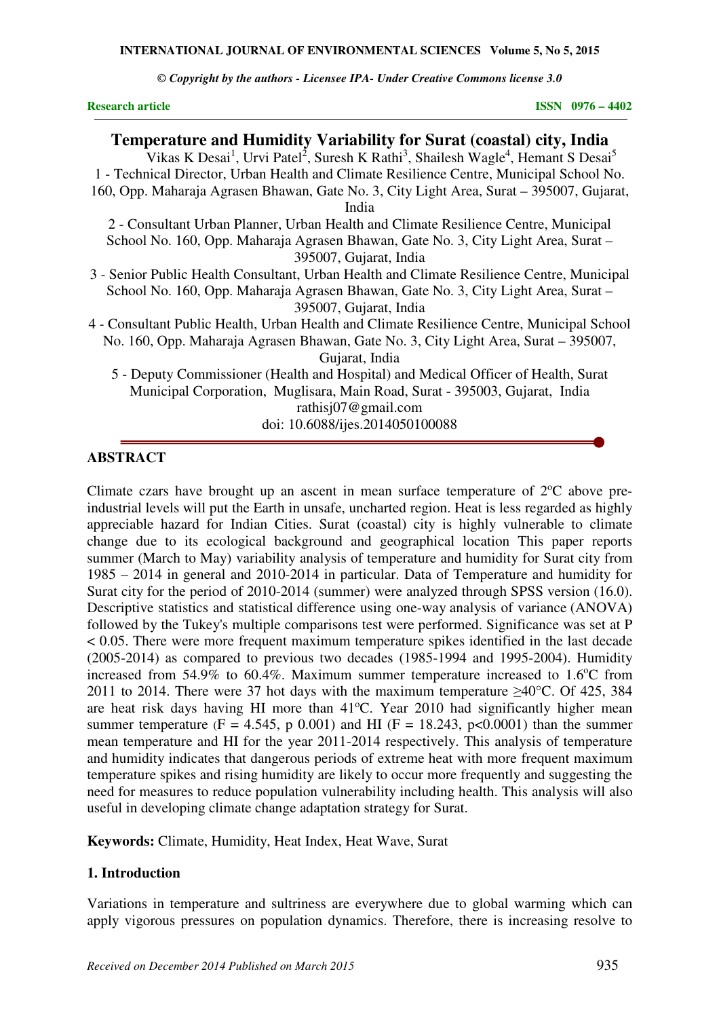**INTERNATIONAL JOURNAL OF ENVIRONMENTAL SCIENCES Volume 5, No 5, 2015** 

*© Copyright by the authors - Licensee IPA- Under Creative Commons license 3.0* 

**Research article** ISSN 0976 – 4402

# **Temperature and Humidity Variability for Surat (coastal) city, India**

Vikas K Desai<sup>1</sup>, Urvi Patel<sup>2</sup>, Suresh K Rathi<sup>3</sup>, Shailesh Wagle<sup>4</sup>, Hemant S Desai<sup>5</sup> 1 - Technical Director, Urban Health and Climate Resilience Centre, Municipal School No. 160, Opp. Maharaja Agrasen Bhawan, Gate No. 3, City Light Area, Surat – 395007, Gujarat, India 2 - Consultant Urban Planner, Urban Health and Climate Resilience Centre, Municipal School No. 160, Opp. Maharaja Agrasen Bhawan, Gate No. 3, City Light Area, Surat – 395007, Gujarat, India 3 - Senior Public Health Consultant, Urban Health and Climate Resilience Centre, Municipal School No. 160, Opp. Maharaja Agrasen Bhawan, Gate No. 3, City Light Area, Surat – 395007, Gujarat, India 4 - Consultant Public Health, Urban Health and Climate Resilience Centre, Municipal School No. 160, Opp. Maharaja Agrasen Bhawan, Gate No. 3, City Light Area, Surat – 395007, Gujarat, India 5 - Deputy Commissioner (Health and Hospital) and Medical Officer of Health, Surat Municipal Corporation, Muglisara, Main Road, Surat - 395003, Gujarat, India rathisj07@gmail.com

doi: 10.6088/ijes.2014050100088

#### **ABSTRACT**

Climate czars have brought up an ascent in mean surface temperature of  $2^{\circ}C$  above preindustrial levels will put the Earth in unsafe, uncharted region. Heat is less regarded as highly appreciable hazard for Indian Cities. Surat (coastal) city is highly vulnerable to climate change due to its ecological background and geographical location This paper reports summer (March to May) variability analysis of temperature and humidity for Surat city from 1985 – 2014 in general and 2010-2014 in particular. Data of Temperature and humidity for Surat city for the period of 2010-2014 (summer) were analyzed through SPSS version (16.0). Descriptive statistics and statistical difference using one-way analysis of variance (ANOVA) followed by the Tukey's multiple comparisons test were performed. Significance was set at P < 0.05. There were more frequent maximum temperature spikes identified in the last decade (2005-2014) as compared to previous two decades (1985-1994 and 1995-2004). Humidity increased from  $54.9\%$  to  $60.4\%$ . Maximum summer temperature increased to  $1.6^{\circ}$ C from 2011 to 2014. There were 37 hot days with the maximum temperature ≥40°C. Of 425, 384 are heat risk days having HI more than  $41^{\circ}$ C. Year 2010 had significantly higher mean summer temperature (F = 4.545, p 0.001) and HI (F = 18.243, p < 0.0001) than the summer mean temperature and HI for the year 2011-2014 respectively. This analysis of temperature and humidity indicates that dangerous periods of extreme heat with more frequent maximum temperature spikes and rising humidity are likely to occur more frequently and suggesting the need for measures to reduce population vulnerability including health. This analysis will also useful in developing climate change adaptation strategy for Surat.

**Keywords:** Climate, Humidity, Heat Index, Heat Wave, Surat

#### **1. Introduction**

Variations in temperature and sultriness are everywhere due to global warming which can apply vigorous pressures on population dynamics. Therefore, there is increasing resolve to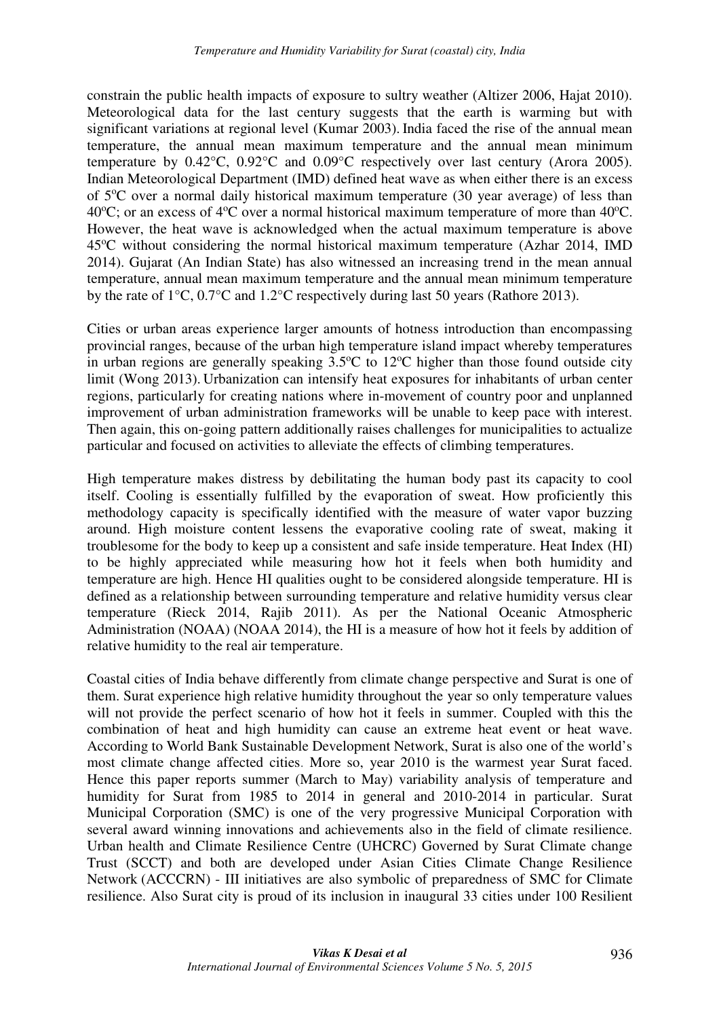constrain the public health impacts of exposure to sultry weather (Altizer 2006, Hajat 2010). Meteorological data for the last century suggests that the earth is warming but with significant variations at regional level (Kumar 2003). India faced the rise of the annual mean temperature, the annual mean maximum temperature and the annual mean minimum temperature by 0.42°C, 0.92°C and 0.09°C respectively over last century (Arora 2005). Indian Meteorological Department (IMD) defined heat wave as when either there is an excess of  $5^{\circ}$ C over a normal daily historical maximum temperature (30 year average) of less than  $40^{\circ}$ C; or an excess of  $4^{\circ}$ C over a normal historical maximum temperature of more than  $40^{\circ}$ C. However, the heat wave is acknowledged when the actual maximum temperature is above 45<sup>o</sup>C without considering the normal historical maximum temperature (Azhar 2014, IMD 2014). Gujarat (An Indian State) has also witnessed an increasing trend in the mean annual temperature, annual mean maximum temperature and the annual mean minimum temperature by the rate of 1°C, 0.7°C and 1.2°C respectively during last 50 years (Rathore 2013).

Cities or urban areas experience larger amounts of hotness introduction than encompassing provincial ranges, because of the urban high temperature island impact whereby temperatures in urban regions are generally speaking  $3.5^{\circ}$ C to 12<sup>o</sup>C higher than those found outside city limit (Wong 2013). Urbanization can intensify heat exposures for inhabitants of urban center regions, particularly for creating nations where in-movement of country poor and unplanned improvement of urban administration frameworks will be unable to keep pace with interest. Then again, this on-going pattern additionally raises challenges for municipalities to actualize particular and focused on activities to alleviate the effects of climbing temperatures.

High temperature makes distress by debilitating the human body past its capacity to cool itself. Cooling is essentially fulfilled by the evaporation of sweat. How proficiently this methodology capacity is specifically identified with the measure of water vapor buzzing around. High moisture content lessens the evaporative cooling rate of sweat, making it troublesome for the body to keep up a consistent and safe inside temperature. Heat Index (HI) to be highly appreciated while measuring how hot it feels when both humidity and temperature are high. Hence HI qualities ought to be considered alongside temperature. HI is defined as a relationship between surrounding temperature and relative humidity versus clear temperature (Rieck 2014, Rajib 2011). As per the National Oceanic Atmospheric Administration (NOAA) (NOAA 2014), the HI is a measure of how hot it feels by addition of relative humidity to the real air temperature.

Coastal cities of India behave differently from climate change perspective and Surat is one of them. Surat experience high relative humidity throughout the year so only temperature values will not provide the perfect scenario of how hot it feels in summer. Coupled with this the combination of heat and high humidity can cause an extreme heat event or heat wave. According to World Bank Sustainable Development Network, Surat is also one of the world's most climate change affected cities. More so, year 2010 is the warmest year Surat faced. Hence this paper reports summer (March to May) variability analysis of temperature and humidity for Surat from 1985 to 2014 in general and 2010-2014 in particular. Surat Municipal Corporation (SMC) is one of the very progressive Municipal Corporation with several award winning innovations and achievements also in the field of climate resilience. Urban health and Climate Resilience Centre (UHCRC) Governed by Surat Climate change Trust (SCCT) and both are developed under Asian Cities Climate Change Resilience Network (ACCCRN) - III initiatives are also symbolic of preparedness of SMC for Climate resilience. Also Surat city is proud of its inclusion in inaugural 33 cities under 100 Resilient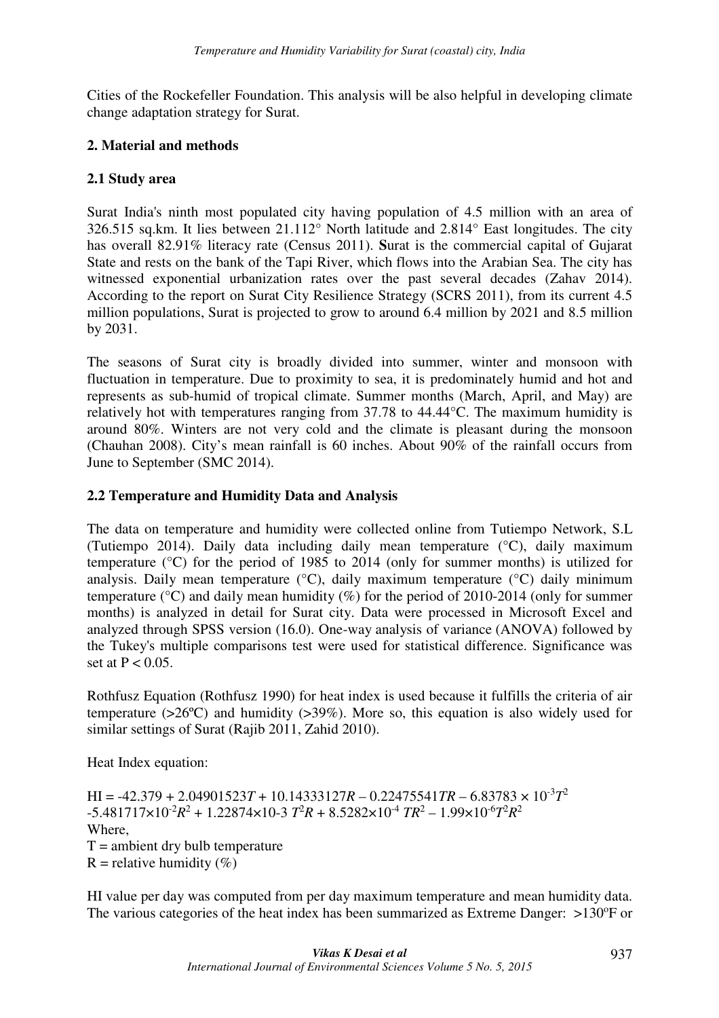Cities of the Rockefeller Foundation. This analysis will be also helpful in developing climate change adaptation strategy for Surat.

## **2. Material and methods**

# **2.1 Study area**

Surat India's ninth most populated city having population of 4.5 million with an area of 326.515 sq.km. It lies between 21.112° North latitude and 2.814° East longitudes. The city has overall 82.91% literacy rate (Census 2011). **S**urat is the commercial capital of Gujarat State and rests on the bank of the Tapi River, which flows into the Arabian Sea. The city has witnessed exponential urbanization rates over the past several decades (Zahav 2014). According to the report on Surat City Resilience Strategy (SCRS 2011), from its current 4.5 million populations, Surat is projected to grow to around 6.4 million by 2021 and 8.5 million by 2031.

The seasons of Surat city is broadly divided into summer, winter and monsoon with fluctuation in temperature. Due to proximity to sea, it is predominately humid and hot and represents as sub-humid of tropical climate. Summer months (March, April, and May) are relatively hot with temperatures ranging from 37.78 to 44.44°C. The maximum humidity is around 80%. Winters are not very cold and the climate is pleasant during the monsoon (Chauhan 2008). City's mean rainfall is 60 inches. About 90% of the rainfall occurs from June to September (SMC 2014).

## **2.2 Temperature and Humidity Data and Analysis**

The data on temperature and humidity were collected online from Tutiempo Network, S.L (Tutiempo 2014). Daily data including daily mean temperature (°C), daily maximum temperature (°C) for the period of 1985 to 2014 (only for summer months) is utilized for analysis. Daily mean temperature (°C), daily maximum temperature (°C) daily minimum temperature ( $\degree$ C) and daily mean humidity (%) for the period of 2010-2014 (only for summer months) is analyzed in detail for Surat city. Data were processed in Microsoft Excel and analyzed through SPSS version (16.0). One-way analysis of variance (ANOVA) followed by the Tukey's multiple comparisons test were used for statistical difference. Significance was set at  $P < 0.05$ .

Rothfusz Equation (Rothfusz 1990) for heat index is used because it fulfills the criteria of air temperature ( $>26^{\circ}$ C) and humidity ( $>39\%$ ). More so, this equation is also widely used for similar settings of Surat (Rajib 2011, Zahid 2010).

Heat Index equation:

 $HI = -42.379 + 2.04901523T + 10.14333127R - 0.22475541TR - 6.83783 \times 10^{-3}T^2$  $-5.481717 \times 10^{-2} R^2 + 1.22874 \times 10^{-3} T^2 R + 8.5282 \times 10^{-4} T R^2 - 1.99 \times 10^{-6} T^2 R^2$ Where  $T =$  ambient dry bulb temperature  $R$  = relative humidity (%)

HI value per day was computed from per day maximum temperature and mean humidity data. The various categories of the heat index has been summarized as Extreme Danger:  $>130^{\circ}$ F or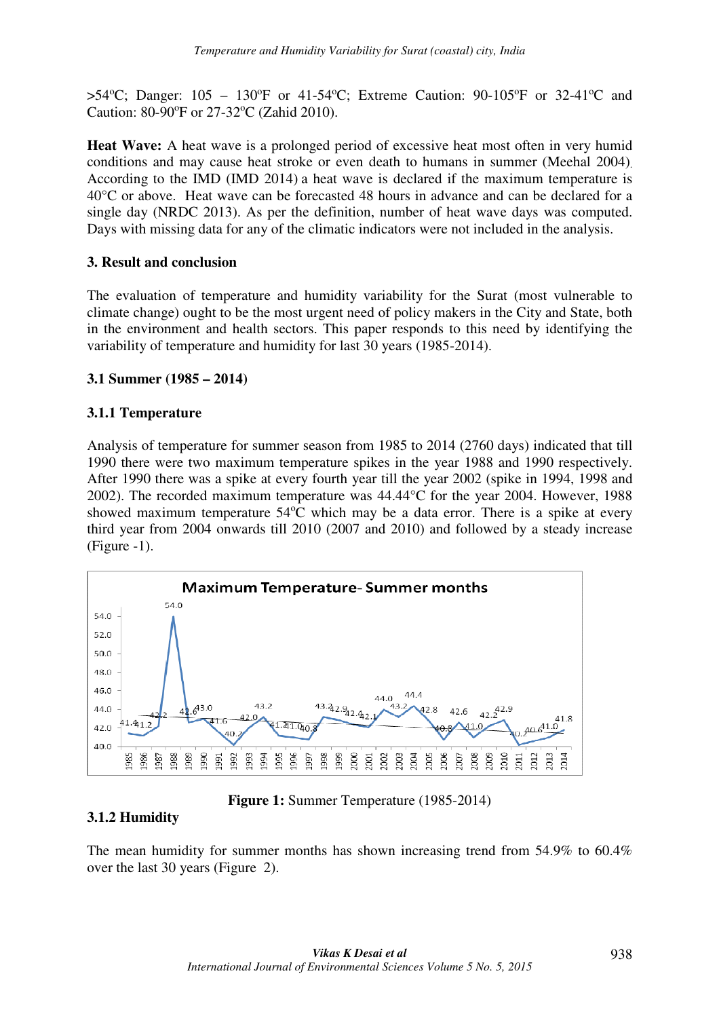$>54^{\circ}$ C; Danger: 105 – 130°F or 41-54°C; Extreme Caution: 90-105°F or 32-41°C and Caution: 80-90°F or 27-32°C (Zahid 2010).

**Heat Wave:** A heat wave is a prolonged period of excessive heat most often in very humid conditions and may cause heat stroke or even death to humans in summer (Meehal 2004). According to the IMD (IMD 2014) a heat wave is declared if the maximum temperature is 40°C or above. Heat wave can be forecasted 48 hours in advance and can be declared for a single day (NRDC 2013). As per the definition, number of heat wave days was computed. Days with missing data for any of the climatic indicators were not included in the analysis.

# **3. Result and conclusion**

The evaluation of temperature and humidity variability for the Surat (most vulnerable to climate change) ought to be the most urgent need of policy makers in the City and State, both in the environment and health sectors. This paper responds to this need by identifying the variability of temperature and humidity for last 30 years (1985-2014).

## **3.1 Summer (1985 – 2014)**

## **3.1.1 Temperature**

Analysis of temperature for summer season from 1985 to 2014 (2760 days) indicated that till 1990 there were two maximum temperature spikes in the year 1988 and 1990 respectively. After 1990 there was a spike at every fourth year till the year 2002 (spike in 1994, 1998 and 2002). The recorded maximum temperature was 44.44°C for the year 2004. However, 1988 showed maximum temperature  $54^{\circ}$ C which may be a data error. There is a spike at every third year from 2004 onwards till 2010 (2007 and 2010) and followed by a steady increase (Figure -1).



**Figure 1:** Summer Temperature (1985-2014)

# **3.1.2 Humidity**

The mean humidity for summer months has shown increasing trend from 54.9% to 60.4% over the last 30 years (Figure 2).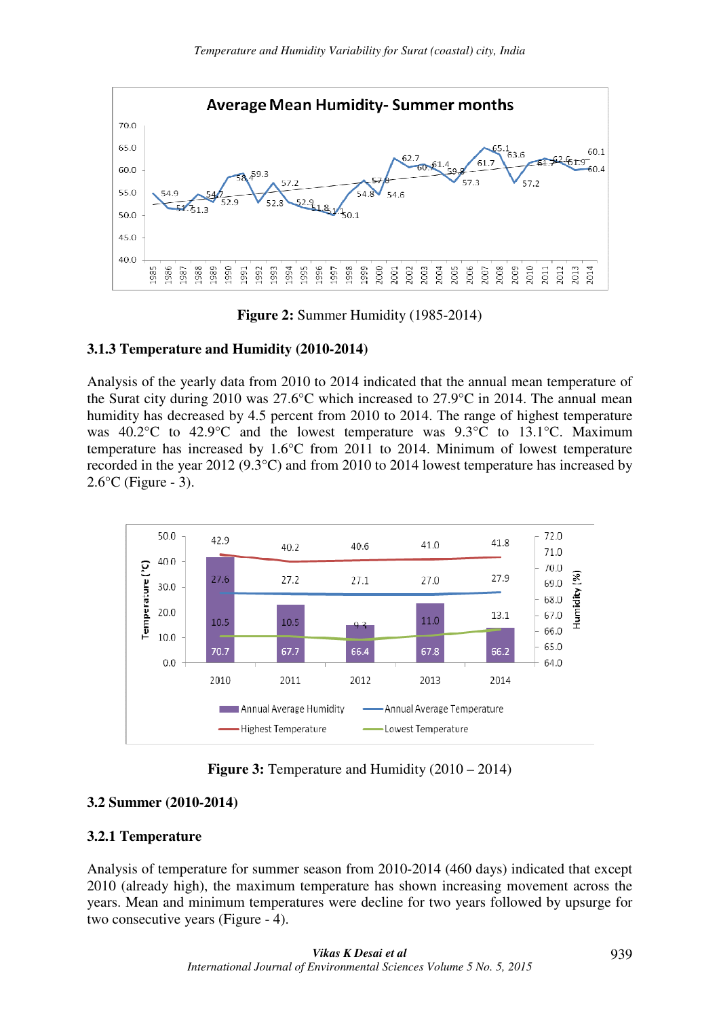

**Figure 2:** Summer Humidity (1985-2014)

# **3.1.3 Temperature and Humidity (2010-2014)**

Analysis of the yearly data from 2010 to 2014 indicated that the annual mean temperature of the Surat city during 2010 was 27.6°C which increased to 27.9°C in 2014. The annual mean humidity has decreased by 4.5 percent from 2010 to 2014. The range of highest temperature was 40.2°C to 42.9°C and the lowest temperature was 9.3°C to 13.1°C. Maximum temperature has increased by 1.6°C from 2011 to 2014. Minimum of lowest temperature recorded in the year 2012 (9.3°C) and from 2010 to 2014 lowest temperature has increased by  $2.6$ °C (Figure - 3).



**Figure 3:** Temperature and Humidity (2010 – 2014)

# **3.2 Summer (2010-2014)**

# **3.2.1 Temperature**

Analysis of temperature for summer season from 2010-2014 (460 days) indicated that except 2010 (already high), the maximum temperature has shown increasing movement across the years. Mean and minimum temperatures were decline for two years followed by upsurge for two consecutive years (Figure - 4).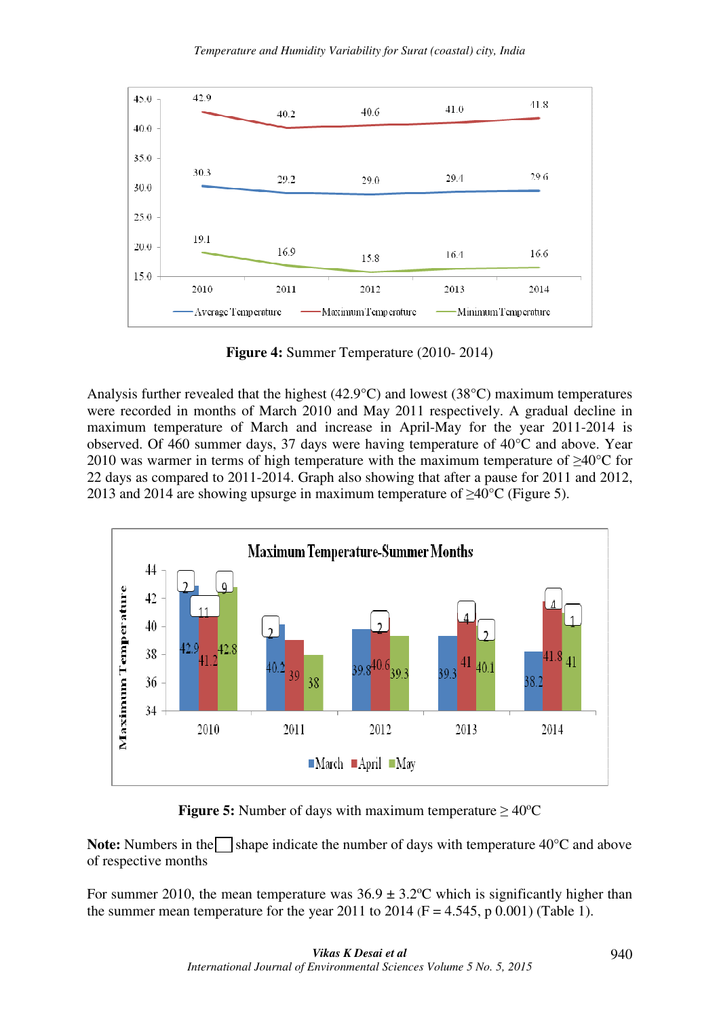

**Figure 4:** Summer Temperature (2010- 2014)

Analysis further revealed that the highest (42.9°C) and lowest (38°C) maximum temperatures were recorded in months of March 2010 and May 2011 respectively. A gradual decline in maximum temperature of March and increase in April-May for the year 2011-2014 is observed. Of 460 summer days, 37 days were having temperature of 40°C and above. Year 2010 was warmer in terms of high temperature with the maximum temperature of ≥40°C for 22 days as compared to 2011-2014. Graph also showing that after a pause for 2011 and 2012, 2013 and 2014 are showing upsurge in maximum temperature of  $\geq 40^{\circ}$ C (Figure 5).



**Figure 5:** Number of days with maximum temperature  $\geq 40^{\circ}$ C

**Note:** Numbers in the shape indicate the number of days with temperature  $40^{\circ}$ C and above of respective months

For summer 2010, the mean temperature was  $36.9 \pm 3.2$ °C which is significantly higher than the summer mean temperature for the year 2011 to 2014 ( $F = 4.545$ , p 0.001) (Table 1).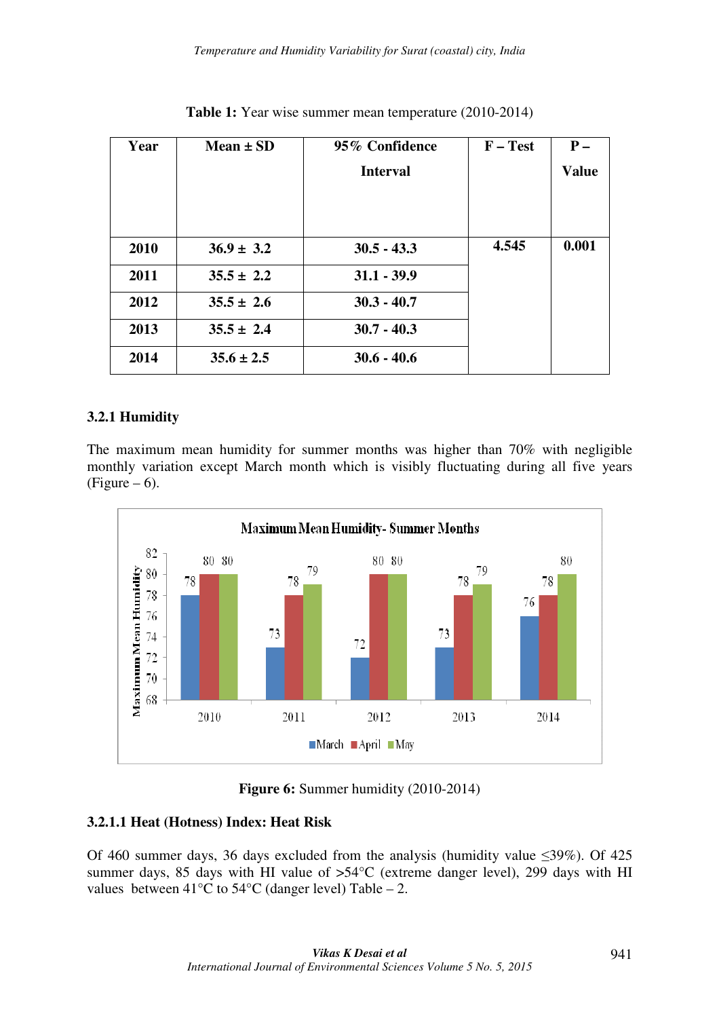| Year | $Mean \pm SD$  | 95% Confidence  | $F - Test$ | $P -$        |
|------|----------------|-----------------|------------|--------------|
|      |                | <b>Interval</b> |            | <b>Value</b> |
|      |                |                 |            |              |
|      |                |                 |            |              |
| 2010 | $36.9 \pm 3.2$ | $30.5 - 43.3$   | 4.545      | 0.001        |
|      |                |                 |            |              |
| 2011 | $35.5 \pm 2.2$ | $31.1 - 39.9$   |            |              |
| 2012 | $35.5 \pm 2.6$ | $30.3 - 40.7$   |            |              |
| 2013 | $35.5 \pm 2.4$ | $30.7 - 40.3$   |            |              |
| 2014 | $35.6 \pm 2.5$ | $30.6 - 40.6$   |            |              |

**Table 1:** Year wise summer mean temperature (2010-2014)

# **3.2.1 Humidity**

The maximum mean humidity for summer months was higher than 70% with negligible monthly variation except March month which is visibly fluctuating during all five years  $(Figure - 6)$ .



**Figure 6:** Summer humidity (2010-2014)

## **3.2.1.1 Heat (Hotness) Index: Heat Risk**

Of 460 summer days, 36 days excluded from the analysis (humidity value ≤39%). Of 425 summer days, 85 days with HI value of >54°C (extreme danger level), 299 days with HI values between  $41^{\circ}$ C to  $54^{\circ}$ C (danger level) Table – 2.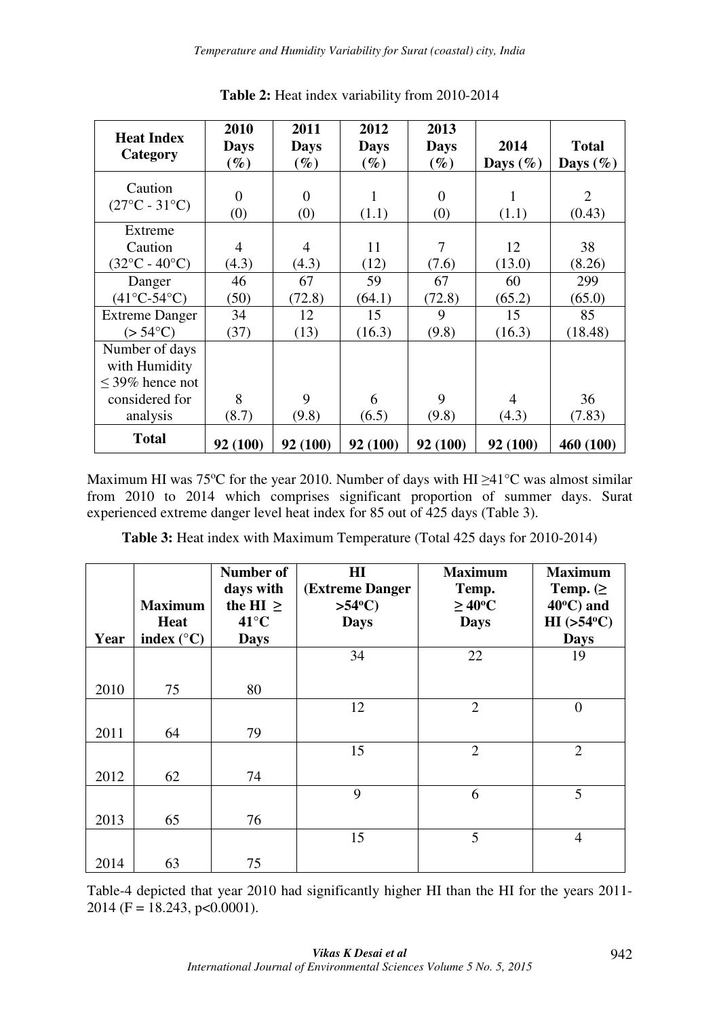| <b>Heat Index</b><br>Category                           | 2010<br><b>Days</b><br>$\mathscr{G}_{\boldsymbol{\ell}}$ | 2011<br><b>Days</b><br>$\left(\%\right)$ | 2012<br><b>Days</b><br>$(\%)$ | 2013<br><b>Days</b><br>$(\%)$ | 2014<br>Days $(\%)$ | <b>Total</b><br>Days $(\%)$ |
|---------------------------------------------------------|----------------------------------------------------------|------------------------------------------|-------------------------------|-------------------------------|---------------------|-----------------------------|
| Caution                                                 | $\overline{0}$                                           | $\Omega$                                 | (1.1)                         | $\Omega$                      | 1                   | $\overline{2}$              |
| $(27^{\circ}C - 31^{\circ}C)$                           | (0)                                                      | (0)                                      |                               | (0)                           | (1.1)               | (0.43)                      |
| Extreme<br>Caution<br>$(32^{\circ}C - 40^{\circ}C)$     | 4<br>(4.3)                                               | 4<br>(4.3)                               | 11<br>(12)                    | 7<br>(7.6)                    | 12<br>(13.0)        | 38<br>(8.26)                |
| Danger                                                  | 46                                                       | 67                                       | 59                            | 67                            | 60                  | 299                         |
| $(41^{\circ}C - 54^{\circ}C)$                           | (50)                                                     | (72.8)                                   | (64.1)                        | (72.8)                        | (65.2)              | (65.0)                      |
| <b>Extreme Danger</b>                                   | 34                                                       | 12                                       | 15                            | 9                             | 15                  | 85                          |
| $(>54^{\circ}C)$                                        | (37)                                                     | (13)                                     | (16.3)                        | (9.8)                         | (16.3)              | (18.48)                     |
| Number of days<br>with Humidity<br>$\leq$ 39% hence not |                                                          |                                          |                               |                               |                     |                             |
| considered for                                          | 8                                                        | 9                                        | 6                             | 9                             | 4                   | 36                          |
| analysis                                                | (8.7)                                                    | (9.8)                                    | (6.5)                         | (9.8)                         | (4.3)               | (7.83)                      |
| <b>Total</b>                                            | 92 (100)                                                 | 92 (100)                                 | 92 (100)                      | 92 (100)                      | 92 (100)            | 460 (100)                   |

**Table 2:** Heat index variability from 2010-2014

Maximum HI was 75<sup>o</sup>C for the year 2010. Number of days with HI  $\geq$ 41<sup>o</sup>C was almost similar from 2010 to 2014 which comprises significant proportion of summer days. Surat experienced extreme danger level heat index for 85 out of 425 days (Table 3).

**Table 3:** Heat index with Maximum Temperature (Total 425 days for 2010-2014)

|      | <b>Maximum</b>      | Number of<br>days with<br>the HI $\geq$ | $\mathbf{H}$<br>(Extreme Danger<br>$>54^{\circ}$ C) | <b>Maximum</b><br>Temp.<br>$\geq 40^{\circ}C$ | <b>Maximum</b><br>Temp. $(\geq)$<br>$40^{\circ}$ C) and |
|------|---------------------|-----------------------------------------|-----------------------------------------------------|-----------------------------------------------|---------------------------------------------------------|
|      | <b>Heat</b>         | $41^{\circ}$ C                          | <b>Days</b>                                         | <b>Days</b>                                   | $HI$ (>54 $°C$ )                                        |
| Year | index $(^{\circ}C)$ | <b>Days</b>                             |                                                     |                                               | <b>Days</b>                                             |
|      |                     |                                         | 34                                                  | 22                                            | 19                                                      |
|      |                     |                                         |                                                     |                                               |                                                         |
| 2010 | 75                  | 80                                      |                                                     |                                               |                                                         |
|      |                     |                                         | 12                                                  | $\overline{2}$                                | $\mathbf{0}$                                            |
| 2011 | 64                  | 79                                      |                                                     |                                               |                                                         |
|      |                     |                                         | 15                                                  | $\overline{2}$                                | $\overline{2}$                                          |
| 2012 | 62                  | 74                                      |                                                     |                                               |                                                         |
|      |                     |                                         | 9                                                   | 6                                             | 5                                                       |
| 2013 | 65                  | 76                                      |                                                     |                                               |                                                         |
|      |                     |                                         | 15                                                  | 5                                             | $\overline{4}$                                          |
| 2014 | 63                  | 75                                      |                                                     |                                               |                                                         |

Table-4 depicted that year 2010 had significantly higher HI than the HI for the years 2011- 2014 (F = 18.243, p < 0.0001).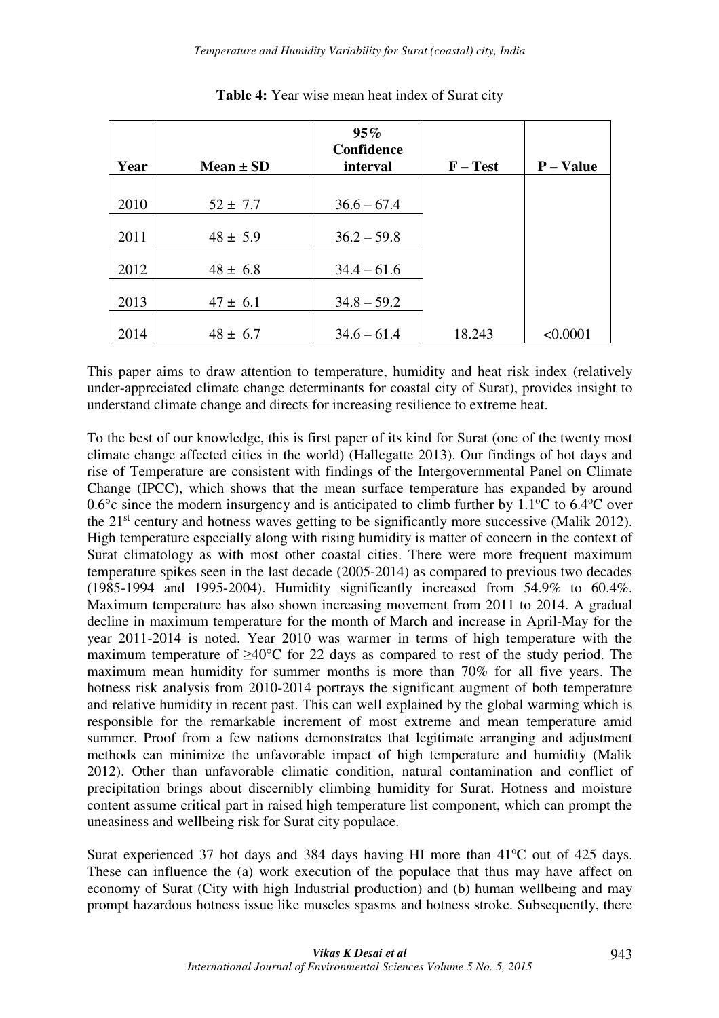| Year | Mean $\pm$ SD | 95%<br>Confidence<br>interval | $F - Test$ | P - Value |
|------|---------------|-------------------------------|------------|-----------|
|      |               |                               |            |           |
| 2010 | $52 \pm 7.7$  | $36.6 - 67.4$                 |            |           |
| 2011 | $48 \pm 5.9$  | $36.2 - 59.8$                 |            |           |
| 2012 | $48 \pm 6.8$  | $34.4 - 61.6$                 |            |           |
| 2013 | $47 \pm 6.1$  | $34.8 - 59.2$                 |            |           |
| 2014 | $48 \pm 6.7$  | $34.6 - 61.4$                 | 18.243     | < 0.0001  |

**Table 4:** Year wise mean heat index of Surat city

This paper aims to draw attention to temperature, humidity and heat risk index (relatively under-appreciated climate change determinants for coastal city of Surat), provides insight to understand climate change and directs for increasing resilience to extreme heat.

To the best of our knowledge, this is first paper of its kind for Surat (one of the twenty most climate change affected cities in the world) (Hallegatte 2013). Our findings of hot days and rise of Temperature are consistent with findings of the Intergovernmental Panel on Climate Change (IPCC), which shows that the mean surface temperature has expanded by around 0.6 $\degree$ c since the modern insurgency and is anticipated to climb further by 1.1 $\degree$ C to 6.4 $\degree$ C over the 21st century and hotness waves getting to be significantly more successive (Malik 2012). High temperature especially along with rising humidity is matter of concern in the context of Surat climatology as with most other coastal cities. There were more frequent maximum temperature spikes seen in the last decade (2005-2014) as compared to previous two decades (1985-1994 and 1995-2004). Humidity significantly increased from 54.9% to 60.4%. Maximum temperature has also shown increasing movement from 2011 to 2014. A gradual decline in maximum temperature for the month of March and increase in April-May for the year 2011-2014 is noted. Year 2010 was warmer in terms of high temperature with the maximum temperature of ≥40°C for 22 days as compared to rest of the study period. The maximum mean humidity for summer months is more than 70% for all five years. The hotness risk analysis from 2010-2014 portrays the significant augment of both temperature and relative humidity in recent past. This can well explained by the global warming which is responsible for the remarkable increment of most extreme and mean temperature amid summer. Proof from a few nations demonstrates that legitimate arranging and adjustment methods can minimize the unfavorable impact of high temperature and humidity (Malik 2012). Other than unfavorable climatic condition, natural contamination and conflict of precipitation brings about discernibly climbing humidity for Surat. Hotness and moisture content assume critical part in raised high temperature list component, which can prompt the uneasiness and wellbeing risk for Surat city populace.

Surat experienced 37 hot days and 384 days having HI more than  $41^{\circ}$ C out of 425 days. These can influence the (a) work execution of the populace that thus may have affect on economy of Surat (City with high Industrial production) and (b) human wellbeing and may prompt hazardous hotness issue like muscles spasms and hotness stroke. Subsequently, there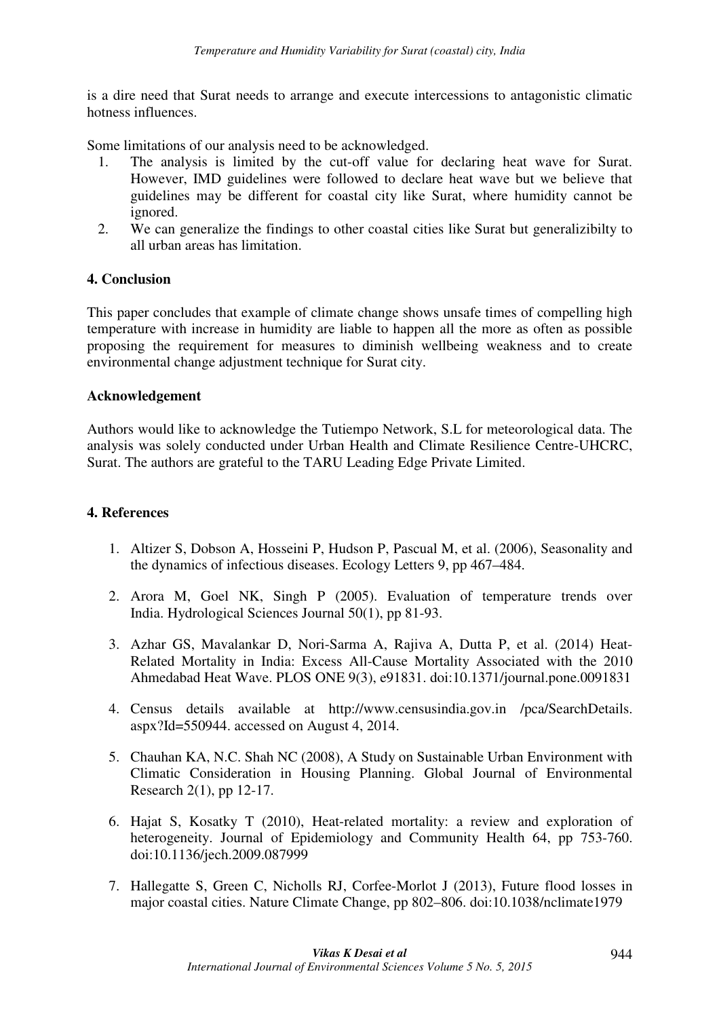is a dire need that Surat needs to arrange and execute intercessions to antagonistic climatic hotness influences.

Some limitations of our analysis need to be acknowledged.

- 1. The analysis is limited by the cut-off value for declaring heat wave for Surat. However, IMD guidelines were followed to declare heat wave but we believe that guidelines may be different for coastal city like Surat, where humidity cannot be ignored.
- 2. We can generalize the findings to other coastal cities like Surat but generalizibilty to all urban areas has limitation.

#### **4. Conclusion**

This paper concludes that example of climate change shows unsafe times of compelling high temperature with increase in humidity are liable to happen all the more as often as possible proposing the requirement for measures to diminish wellbeing weakness and to create environmental change adjustment technique for Surat city.

#### **Acknowledgement**

Authors would like to acknowledge the Tutiempo Network, S.L for meteorological data. The analysis was solely conducted under Urban Health and Climate Resilience Centre-UHCRC, Surat. The authors are grateful to the TARU Leading Edge Private Limited.

#### **4. References**

- 1. Altizer S, Dobson A, Hosseini P, Hudson P, Pascual M, et al. (2006), Seasonality and the dynamics of infectious diseases. Ecology Letters 9, pp 467–484.
- 2. Arora M, Goel NK, Singh P (2005). Evaluation of temperature trends over India. Hydrological Sciences Journal 50(1), pp 81-93.
- 3. Azhar GS, Mavalankar D, Nori-Sarma A, Rajiva A, Dutta P, et al. (2014) Heat-Related Mortality in India: Excess All-Cause Mortality Associated with the 2010 Ahmedabad Heat Wave. PLOS ONE 9(3), e91831. doi:10.1371/journal.pone.0091831
- 4. Census details available at http://www.censusindia.gov.in /pca/SearchDetails. aspx?Id=550944. accessed on August 4, 2014.
- 5. Chauhan KA, N.C. Shah NC (2008), A Study on Sustainable Urban Environment with Climatic Consideration in Housing Planning. Global Journal of Environmental Research 2(1), pp 12-17.
- 6. Hajat S, Kosatky T (2010), Heat-related mortality: a review and exploration of heterogeneity. Journal of Epidemiology and Community Health 64, pp 753-760. doi:10.1136/jech.2009.087999
- 7. Hallegatte S, Green C, Nicholls RJ, Corfee-Morlot J (2013), Future flood losses in major coastal cities. Nature Climate Change, pp 802–806. doi:10.1038/nclimate1979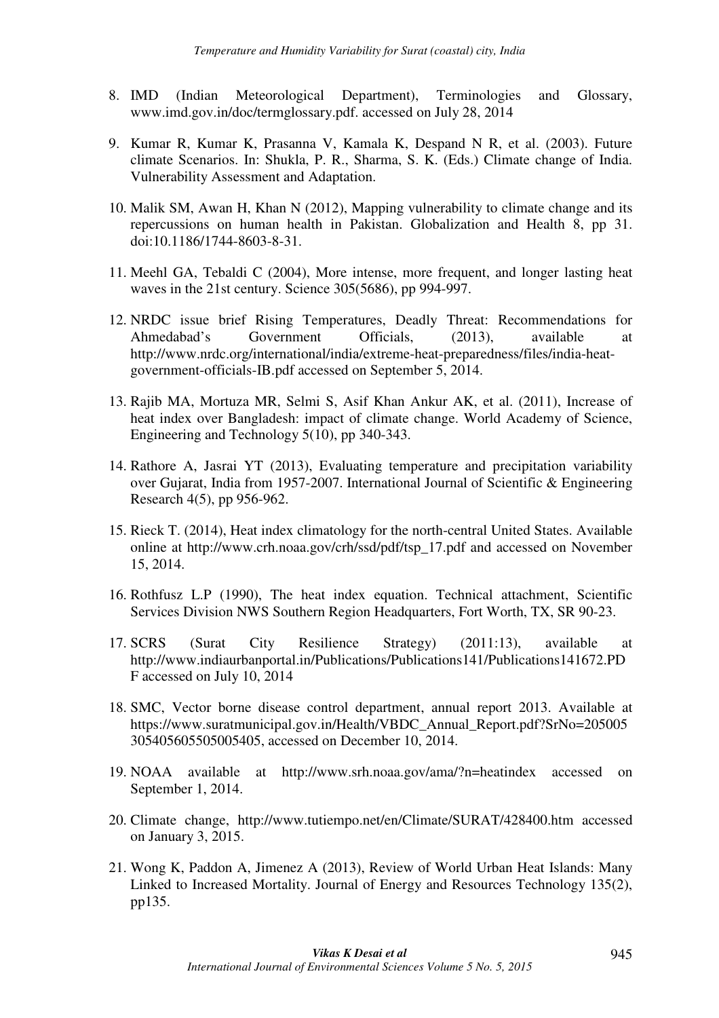- 8. IMD (Indian Meteorological Department), Terminologies and Glossary, www.imd.gov.in/doc/termglossary.pdf. accessed on July 28, 2014
- 9. Kumar R, Kumar K, Prasanna V, Kamala K, Despand N R, et al. (2003). Future climate Scenarios. In: Shukla, P. R., Sharma, S. K. (Eds.) Climate change of India. Vulnerability Assessment and Adaptation.
- 10. Malik SM, Awan H, Khan N (2012), Mapping vulnerability to climate change and its repercussions on human health in Pakistan. Globalization and Health 8, pp 31. doi:10.1186/1744-8603-8-31.
- 11. Meehl GA, Tebaldi C (2004), More intense, more frequent, and longer lasting heat waves in the 21st century. Science 305(5686), pp 994-997.
- 12. NRDC issue brief Rising Temperatures, Deadly Threat: Recommendations for Ahmedabad's Government Officials, (2013), available at http://www.nrdc.org/international/india/extreme-heat-preparedness/files/india-heatgovernment-officials-IB.pdf accessed on September 5, 2014.
- 13. Rajib MA, Mortuza MR, Selmi S, Asif Khan Ankur AK, et al. (2011), Increase of heat index over Bangladesh: impact of climate change. World Academy of Science, Engineering and Technology 5(10), pp 340-343.
- 14. Rathore A, Jasrai YT (2013), Evaluating temperature and precipitation variability over Gujarat, India from 1957-2007. International Journal of Scientific & Engineering Research 4(5), pp 956-962.
- 15. Rieck T. (2014), Heat index climatology for the north-central United States. Available online at http://www.crh.noaa.gov/crh/ssd/pdf/tsp\_17.pdf and accessed on November 15, 2014.
- 16. Rothfusz L.P (1990), The heat index equation. Technical attachment, Scientific Services Division NWS Southern Region Headquarters, Fort Worth, TX, SR 90-23.
- 17. SCRS (Surat City Resilience Strategy) (2011:13), available at http://www.indiaurbanportal.in/Publications/Publications141/Publications141672.PD F accessed on July 10, 2014
- 18. SMC, Vector borne disease control department, annual report 2013. Available at https://www.suratmunicipal.gov.in/Health/VBDC\_Annual\_Report.pdf?SrNo=205005 305405605505005405, accessed on December 10, 2014.
- 19. NOAA available at http://www.srh.noaa.gov/ama/?n=heatindex accessed on September 1, 2014.
- 20. Climate change, http://www.tutiempo.net/en/Climate/SURAT/428400.htm accessed on January 3, 2015.
- 21. Wong K, Paddon A, Jimenez A (2013), Review of World Urban Heat Islands: Many Linked to Increased Mortality. Journal of Energy and Resources Technology 135(2), pp135.